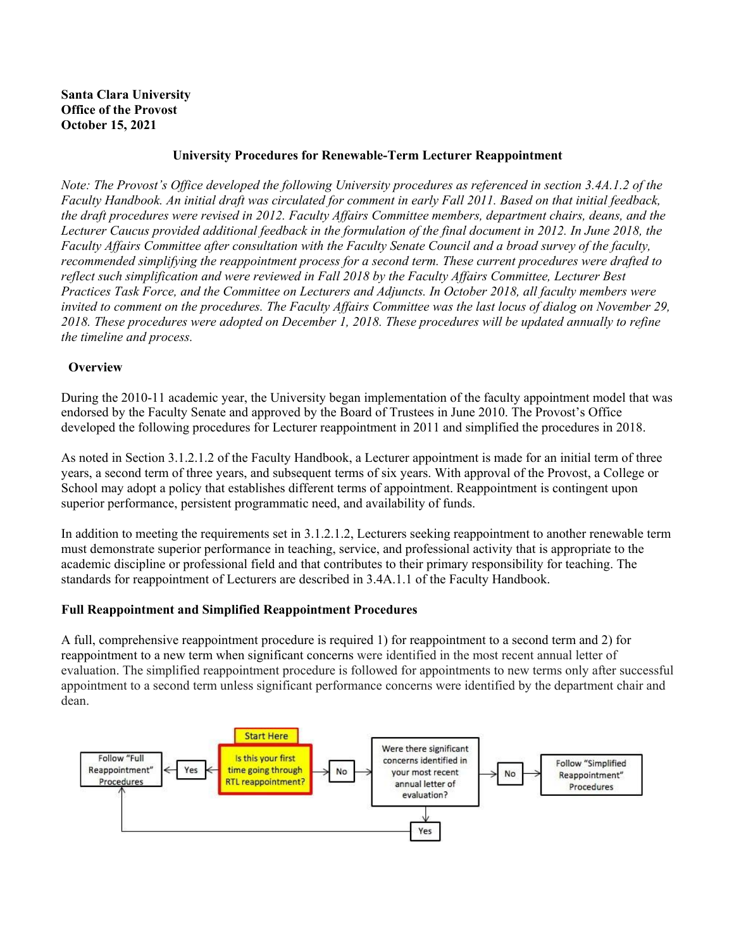#### **Santa Clara University Office of the Provost October 15, 2021**

#### **University Procedures for Renewable-Term Lecturer Reappointment**

*Note: The Provost's Office developed the following University procedures as referenced in section 3.4A.1.2 of the Faculty Handbook. An initial draft was circulated for comment in early Fall 2011. Based on that initial feedback, the draft procedures were revised in 2012. Faculty Affairs Committee members, department chairs, deans, and the Lecturer Caucus provided additional feedback in the formulation of the final document in 2012. In June 2018, the Faculty Affairs Committee after consultation with the Faculty Senate Council and a broad survey of the faculty, recommended simplifying the reappointment process for a second term. These current procedures were drafted to reflect such simplification and were reviewed in Fall 2018 by the Faculty Affairs Committee, Lecturer Best Practices Task Force, and the Committee on Lecturers and Adjuncts. In October 2018, all faculty members were invited to comment on the procedures. The Faculty Affairs Committee was the last locus of dialog on November 29, 2018. These procedures were adopted on December 1, 2018. These procedures will be updated annually to refine the timeline and process.*

#### **Overview**

During the 2010-11 academic year, the University began implementation of the faculty appointment model that was endorsed by the Faculty Senate and approved by the Board of Trustees in June 2010. The Provost's Office developed the following procedures for Lecturer reappointment in 2011 and simplified the procedures in 2018.

As noted in Section 3.1.2.1.2 of the Faculty Handbook, a Lecturer appointment is made for an initial term of three years, a second term of three years, and subsequent terms of six years. With approval of the Provost, a College or School may adopt a policy that establishes different terms of appointment. Reappointment is contingent upon superior performance, persistent programmatic need, and availability of funds.

In addition to meeting the requirements set in 3.1.2.1.2, Lecturers seeking reappointment to another renewable term must demonstrate superior performance in teaching, service, and professional activity that is appropriate to the academic discipline or professional field and that contributes to their primary responsibility for teaching. The standards for reappointment of Lecturers are described in 3.4A.1.1 of the Faculty Handbook.

## **Full Reappointment and Simplified Reappointment Procedures**

A full, comprehensive reappointment procedure is required 1) for reappointment to a second term and 2) for reappointment to a new term when significant concerns were identified in the most recent annual letter of evaluation. The simplified reappointment procedure is followed for appointments to new terms only after successful appointment to a second term unless significant performance concerns were identified by the department chair and dean.

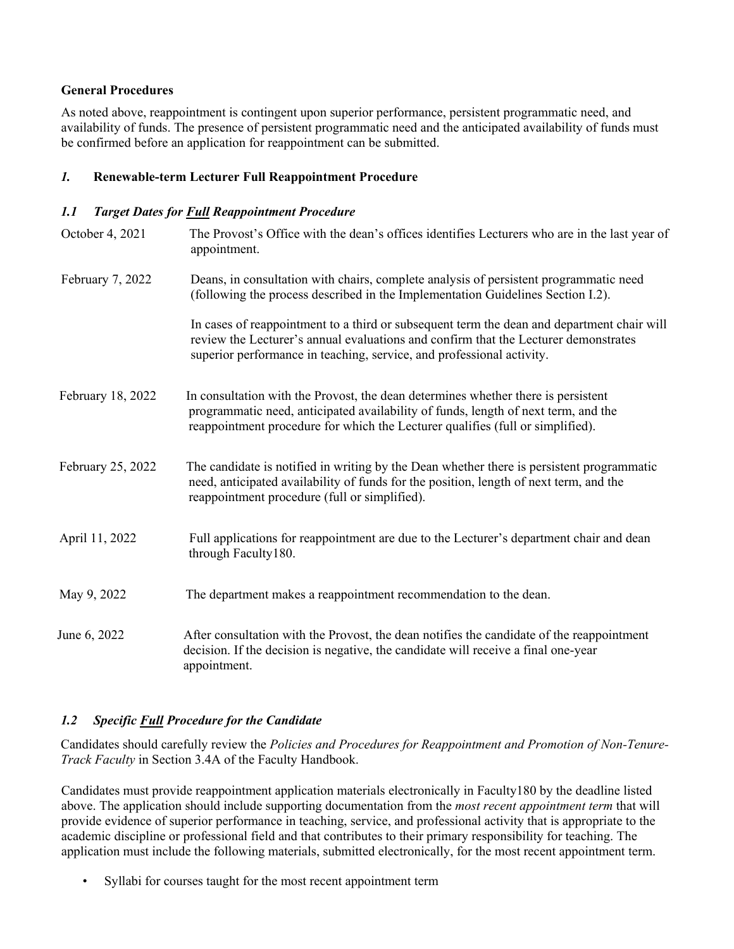## **General Procedures**

As noted above, reappointment is contingent upon superior performance, persistent programmatic need, and availability of funds. The presence of persistent programmatic need and the anticipated availability of funds must be confirmed before an application for reappointment can be submitted.

#### *1.* **Renewable-term Lecturer Full Reappointment Procedure**

#### *1.1 Target Dates for Full Reappointment Procedure*

| October 4, 2021   | The Provost's Office with the dean's offices identifies Lecturers who are in the last year of<br>appointment.                                                                                                                                              |
|-------------------|------------------------------------------------------------------------------------------------------------------------------------------------------------------------------------------------------------------------------------------------------------|
| February 7, 2022  | Deans, in consultation with chairs, complete analysis of persistent programmatic need<br>(following the process described in the Implementation Guidelines Section I.2).                                                                                   |
|                   | In cases of reappointment to a third or subsequent term the dean and department chair will<br>review the Lecturer's annual evaluations and confirm that the Lecturer demonstrates<br>superior performance in teaching, service, and professional activity. |
| February 18, 2022 | In consultation with the Provost, the dean determines whether there is persistent<br>programmatic need, anticipated availability of funds, length of next term, and the<br>reappointment procedure for which the Lecturer qualifies (full or simplified).  |
| February 25, 2022 | The candidate is notified in writing by the Dean whether there is persistent programmatic<br>need, anticipated availability of funds for the position, length of next term, and the<br>reappointment procedure (full or simplified).                       |
| April 11, 2022    | Full applications for reappointment are due to the Lecturer's department chair and dean<br>through Faculty180.                                                                                                                                             |
| May 9, 2022       | The department makes a reappointment recommendation to the dean.                                                                                                                                                                                           |
| June 6, 2022      | After consultation with the Provost, the dean notifies the candidate of the reappointment<br>decision. If the decision is negative, the candidate will receive a final one-year<br>appointment.                                                            |

## *1.2 Specific Full Procedure for the Candidate*

Candidates should carefully review the *Policies and Procedures for Reappointment and Promotion of Non-Tenure-Track Faculty* in Section 3.4A of the Faculty Handbook.

Candidates must provide reappointment application materials electronically in Faculty180 by the deadline listed above. The application should include supporting documentation from the *most recent appointment term* that will provide evidence of superior performance in teaching, service, and professional activity that is appropriate to the academic discipline or professional field and that contributes to their primary responsibility for teaching. The application must include the following materials, submitted electronically, for the most recent appointment term.

• Syllabi for courses taught for the most recent appointment term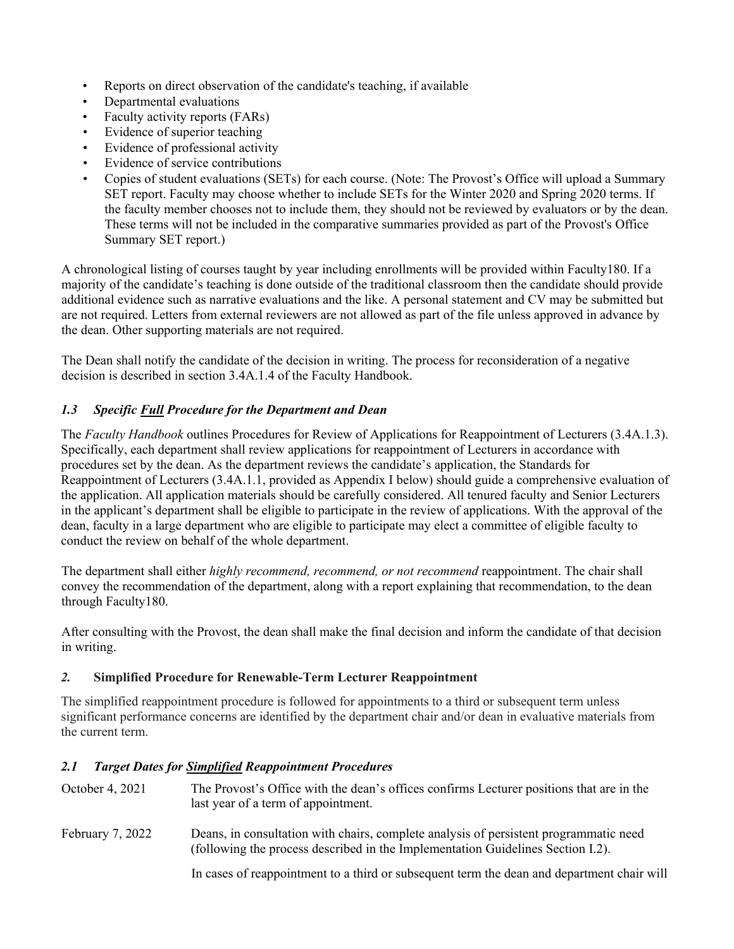- Reports on direct observation of the candidate's teaching, if available
- Departmental evaluations
- Faculty activity reports (FARs)
- Evidence of superior teaching
- Evidence of professional activity
- Evidence of service contributions
- Copies of student evaluations (SETs) for each course. (Note: The Provost's Office will upload a Summary SET report. Faculty may choose whether to include SETs for the Winter 2020 and Spring 2020 terms. If the faculty member chooses not to include them, they should not be reviewed by evaluators or by the dean. These terms will not be included in the comparative summaries provided as part of the Provost's Office Summary SET report.)

A chronological listing of courses taught by year including enrollments will be provided within Faculty180. If a majority of the candidate's teaching is done outside of the traditional classroom then the candidate should provide additional evidence such as narrative evaluations and the like. A personal statement and CV may be submitted but are not required. Letters from external reviewers are not allowed as part of the file unless approved in advance by the dean. Other supporting materials are not required.

The Dean shall notify the candidate of the decision in writing. The process for reconsideration of a negative decision is described in section 3.4A.1.4 of the Faculty Handbook.

# *1.3 Specific Full Procedure for the Department and Dean*

The *Faculty Handbook* outlines Procedures for Review of Applications for Reappointment of Lecturers (3.4A.1.3). Specifically, each department shall review applications for reappointment of Lecturers in accordance with procedures set by the dean. As the department reviews the candidate's application, the Standards for Reappointment of Lecturers (3.4A.1.1, provided as Appendix I below) should guide a comprehensive evaluation of the application. All application materials should be carefully considered. All tenured faculty and Senior Lecturers in the applicant's department shall be eligible to participate in the review of applications. With the approval of the dean, faculty in a large department who are eligible to participate may elect a committee of eligible faculty to conduct the review on behalf of the whole department.

The department shall either *highly recommend, recommend, or not recommend* reappointment. The chair shall convey the recommendation of the department, along with a report explaining that recommendation, to the dean through Faculty180.

After consulting with the Provost, the dean shall make the final decision and inform the candidate of that decision in writing.

## *2.* **Simplified Procedure for Renewable-Term Lecturer Reappointment**

The simplified reappointment procedure is followed for appointments to a third or subsequent term unless significant performance concerns are identified by the department chair and/or dean in evaluative materials from the current term.

## *2.1 Target Dates for Simplified Reappointment Procedures*

| October 4, 2021  | The Provost's Office with the dean's offices confirms Lecturer positions that are in the<br>last year of a term of appointment.                                          |
|------------------|--------------------------------------------------------------------------------------------------------------------------------------------------------------------------|
| February 7, 2022 | Deans, in consultation with chairs, complete analysis of persistent programmatic need<br>(following the process described in the Implementation Guidelines Section I.2). |
|                  | In cases of reappointment to a third or subsequent term the dean and department chair will                                                                               |